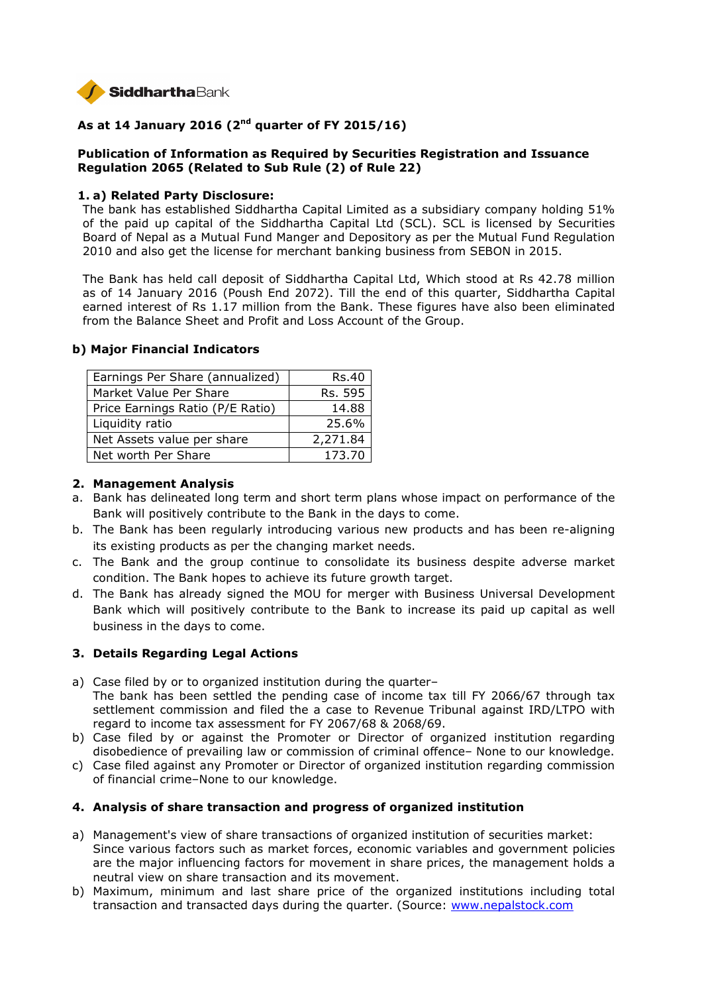

# **As at 14 January 2016 (2nd quarter of FY 2015/16)**

## **Publication of Information as Required by Securities Registration and Issuance Regulation 2065 (Related to Sub Rule (2) of Rule 22)**

#### **1. a) Related Party Disclosure:**

The bank has established Siddhartha Capital Limited as a subsidiary company holding 51% of the paid up capital of the Siddhartha Capital Ltd (SCL). SCL is licensed by Securities Board of Nepal as a Mutual Fund Manger and Depository as per the Mutual Fund Regulation 2010 and also get the license for merchant banking business from SEBON in 2015.

The Bank has held call deposit of Siddhartha Capital Ltd, Which stood at Rs 42.78 million as of 14 January 2016 (Poush End 2072). Till the end of this quarter, Siddhartha Capital earned interest of Rs 1.17 million from the Bank. These figures have also been eliminated from the Balance Sheet and Profit and Loss Account of the Group.

| Earnings Per Share (annualized)  | Rs.40    |
|----------------------------------|----------|
| Market Value Per Share           | Rs. 595  |
| Price Earnings Ratio (P/E Ratio) | 14.88    |
| Liquidity ratio                  | 25.6%    |
| Net Assets value per share       | 2,271.84 |
| Net worth Per Share              | 173.70   |

#### **b) Major Financial Indicators**

#### **2. Management Analysis**

- a. Bank has delineated long term and short term plans whose impact on performance of the Bank will positively contribute to the Bank in the days to come.
- b. The Bank has been regularly introducing various new products and has been re-aligning its existing products as per the changing market needs.
- c. The Bank and the group continue to consolidate its business despite adverse market condition. The Bank hopes to achieve its future growth target.
- d. The Bank has already signed the MOU for merger with Business Universal Development Bank which will positively contribute to the Bank to increase its paid up capital as well business in the days to come.

## **3. Details Regarding Legal Actions**

- a) Case filed by or to organized institution during the quarter– The bank has been settled the pending case of income tax till FY 2066/67 through tax settlement commission and filed the a case to Revenue Tribunal against IRD/LTPO with regard to income tax assessment for FY 2067/68 & 2068/69.
- b) Case filed by or against the Promoter or Director of organized institution regarding disobedience of prevailing law or commission of criminal offence– None to our knowledge.
- c) Case filed against any Promoter or Director of organized institution regarding commission of financial crime–None to our knowledge.

#### **4. Analysis of share transaction and progress of organized institution**

- a) Management's view of share transactions of organized institution of securities market: Since various factors such as market forces, economic variables and government policies are the major influencing factors for movement in share prices, the management holds a neutral view on share transaction and its movement.
- b) Maximum, minimum and last share price of the organized institutions including total transaction and transacted days during the quarter. (Source: www.nepalstock.com